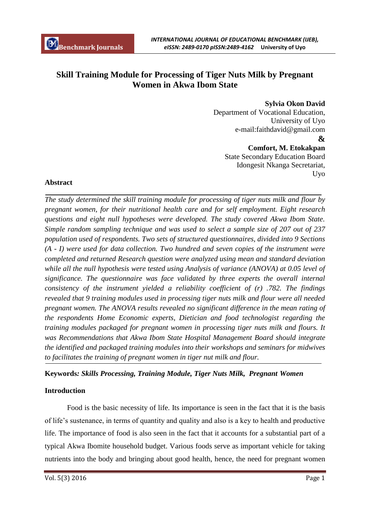# **Skill Training Module for Processing of Tiger Nuts Milk by Pregnant Women in Akwa Ibom State**

**Sylvia Okon David** 

Department of Vocational Education, University of Uyo e-mail:faithdavid@gmail.com  **& Comfort, M. Etokakpan**

State Secondary Education Board Idongesit Nkanga Secretariat, Uyo

#### **Abstract**

*The study determined the skill training module for processing of tiger nuts milk and flour by pregnant women, for their nutritional health care and for self employment. Eight research questions and eight null hypotheses were developed. The study covered Akwa Ibom State. Simple random sampling technique and was used to select a sample size of 207 out of 237 population used of respondents. Two sets of structured questionnaires, divided into 9 Sections (A - I) were used for data collection. Two hundred and seven copies of the instrument were completed and returned Research question were analyzed using mean and standard deviation while all the null hypothesis were tested using Analysis of variance (ANOVA) at 0.05 level of significance. The questionnaire was face validated by three experts the overall internal consistency of the instrument yielded a reliability coefficient of (r) .782. The findings revealed that 9 training modules used in processing tiger nuts milk and flour were all needed pregnant women. The ANOVA results revealed no significant difference in the mean rating of the respondents Home Economic experts, Dietician and food technologist regarding the training modules packaged for pregnant women in processing tiger nuts milk and flours. It was Recommendations that Akwa Ibom State Hospital Management Board should integrate the identified and packaged training modules into their workshops and seminars for midwives to facilitates the training of pregnant women in tiger nut milk and flour.* 

## **Keywords***: Skills Processing, Training Module, Tiger Nuts Milk, Pregnant Women*

## **Introduction**

Food is the basic necessity of life. Its importance is seen in the fact that it is the basis of life's sustenance, in terms of quantity and quality and also is a key to health and productive life. The importance of food is also seen in the fact that it accounts for a substantial part of a typical Akwa Ibomite household budget. Various foods serve as important vehicle for taking nutrients into the body and bringing about good health, hence, the need for pregnant women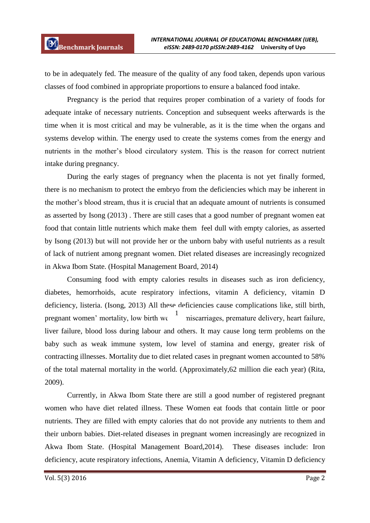to be in adequately fed. The measure of the quality of any food taken, depends upon various classes of food combined in appropriate proportions to ensure a balanced food intake.

Pregnancy is the period that requires proper combination of a variety of foods for adequate intake of necessary nutrients. Conception and subsequent weeks afterwards is the time when it is most critical and may be vulnerable, as it is the time when the organs and systems develop within. The energy used to create the systems comes from the energy and nutrients in the mother's blood circulatory system. This is the reason for correct nutrient intake during pregnancy.

During the early stages of pregnancy when the placenta is not yet finally formed, there is no mechanism to protect the embryo from the deficiencies which may be inherent in the mother's blood stream, thus it is crucial that an adequate amount of nutrients is consumed as asserted by Isong (2013) . There are still cases that a good number of pregnant women eat food that contain little nutrients which make them feel dull with empty calories, as asserted by Isong (2013) but will not provide her or the unborn baby with useful nutrients as a result of lack of nutrient among pregnant women. Diet related diseases are increasingly recognized in Akwa Ibom State. (Hospital Management Board, 2014)

Consuming food with empty calories results in diseases such as iron deficiency, diabetes, hemorrhoids, acute respiratory infections, vitamin A deficiency, vitamin D deficiency, listeria. (Isong, 2013) All these deficiencies cause complications like, still birth, pregnant women' mortality, low birth we  $\frac{1}{\pi}$  niscarriages, premature delivery, heart failure, liver failure, blood loss during labour and others. It may cause long term problems on the baby such as weak immune system, low level of stamina and energy, greater risk of contracting illnesses. Mortality due to diet related cases in pregnant women accounted to 58% of the total maternal mortality in the world. (Approximately,62 million die each year) (Rita, 2009).

Currently, in Akwa Ibom State there are still a good number of registered pregnant women who have diet related illness. These Women eat foods that contain little or poor nutrients. They are filled with empty calories that do not provide any nutrients to them and their unborn babies. Diet-related diseases in pregnant women increasingly are recognized in Akwa Ibom State. (Hospital Management Board,2014). These diseases include: Iron deficiency, acute respiratory infections, Anemia, Vitamin A deficiency, Vitamin D deficiency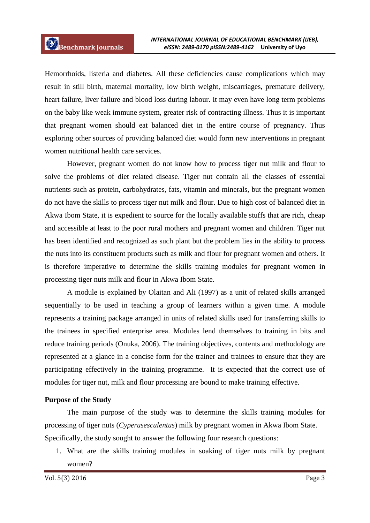Hemorrhoids, listeria and diabetes. All these deficiencies cause complications which may result in still birth, maternal mortality, low birth weight, miscarriages, premature delivery, heart failure, liver failure and blood loss during labour. It may even have long term problems on the baby like weak immune system, greater risk of contracting illness. Thus it is important that pregnant women should eat balanced diet in the entire course of pregnancy. Thus exploring other sources of providing balanced diet would form new interventions in pregnant women nutritional health care services.

However, pregnant women do not know how to process tiger nut milk and flour to solve the problems of diet related disease. Tiger nut contain all the classes of essential nutrients such as protein, carbohydrates, fats, vitamin and minerals, but the pregnant women do not have the skills to process tiger nut milk and flour. Due to high cost of balanced diet in Akwa Ibom State, it is expedient to source for the locally available stuffs that are rich, cheap and accessible at least to the poor rural mothers and pregnant women and children. Tiger nut has been identified and recognized as such plant but the problem lies in the ability to process the nuts into its constituent products such as milk and flour for pregnant women and others. It is therefore imperative to determine the skills training modules for pregnant women in processing tiger nuts milk and flour in Akwa Ibom State.

A module is explained by Olaitan and Ali (1997) as a unit of related skills arranged sequentially to be used in teaching a group of learners within a given time. A module represents a training package arranged in units of related skills used for transferring skills to the trainees in specified enterprise area. Modules lend themselves to training in bits and reduce training periods (Onuka, 2006). The training objectives, contents and methodology are represented at a glance in a concise form for the trainer and trainees to ensure that they are participating effectively in the training programme. It is expected that the correct use of modules for tiger nut, milk and flour processing are bound to make training effective.

#### **Purpose of the Study**

The main purpose of the study was to determine the skills training modules for processing of tiger nuts (*Cyperusesculentus*) milk by pregnant women in Akwa Ibom State. Specifically, the study sought to answer the following four research questions:

1. What are the skills training modules in soaking of tiger nuts milk by pregnant women?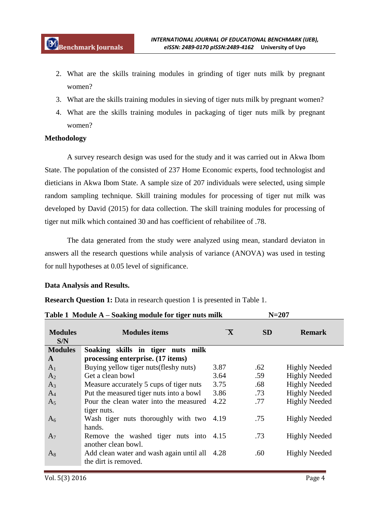- 2. What are the skills training modules in grinding of tiger nuts milk by pregnant women?
- 3. What are the skills training modules in sieving of tiger nuts milk by pregnant women?
- 4. What are the skills training modules in packaging of tiger nuts milk by pregnant women?

## **Methodology**

A survey research design was used for the study and it was carried out in Akwa Ibom State. The population of the consisted of 237 Home Economic experts, food technologist and dieticians in Akwa Ibom State. A sample size of 207 individuals were selected, using simple random sampling technique. Skill training modules for processing of tiger nut milk was developed by David (2015) for data collection. The skill training modules for processing of tiger nut milk which contained 30 and has coefficient of rehabilitee of .78.

The data generated from the study were analyzed using mean, standard deviaton in answers all the research questions while analysis of variance (ANOVA) was used in testing for null hypotheses at 0.05 level of significance.

## **Data Analysis and Results.**

**Research Question 1:** Data in research question 1 is presented in Table 1.

|                       | <b>Table 1</b> Module $A - S$ oaking module for light fluis mink |                         | $N = 207$ |                      |
|-----------------------|------------------------------------------------------------------|-------------------------|-----------|----------------------|
| <b>Modules</b><br>S/N | <b>Modules items</b>                                             | $\overline{\mathbf{X}}$ | <b>SD</b> | <b>Remark</b>        |
| <b>Modules</b>        | Soaking skills in tiger nuts milk                                |                         |           |                      |
| A                     | processing enterprise. (17 items)                                |                         |           |                      |
| A <sub>1</sub>        | Buying yellow tiger nuts (fleshy nuts)                           | 3.87                    | .62       | <b>Highly Needed</b> |
| A <sub>2</sub>        | Get a clean bowl                                                 | 3.64                    | .59       | <b>Highly Needed</b> |
| $A_3$                 | Measure accurately 5 cups of tiger nuts                          | 3.75                    | .68       | <b>Highly Needed</b> |
| $A_4$                 | Put the measured tiger nuts into a bowl                          | 3.86                    | .73       | <b>Highly Needed</b> |
| A <sub>5</sub>        | Pour the clean water into the measured                           | 4.22                    | .77       | <b>Highly Needed</b> |
|                       | tiger nuts.                                                      |                         |           |                      |
| $A_6$                 | Wash tiger nuts thoroughly with two 4.19                         |                         | .75       | <b>Highly Needed</b> |
|                       | hands.                                                           |                         |           |                      |
| $A_7$                 | Remove the washed tiger nuts into 4.15                           |                         | .73       | <b>Highly Needed</b> |
|                       | another clean bowl.                                              |                         |           |                      |
| $A_8$                 | Add clean water and wash again until all                         | 4.28                    | .60       | <b>Highly Needed</b> |
|                       | the dirt is removed.                                             |                         |           |                      |

**Table 1 Module A – Soaking module for tiger nuts milk N=207**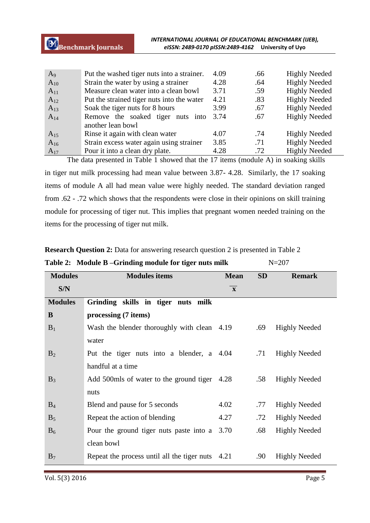| $A_9$    | Put the washed tiger nuts into a strainer. | 4.09 | .66 | <b>Highly Needed</b> |
|----------|--------------------------------------------|------|-----|----------------------|
| $A_{10}$ | Strain the water by using a strainer       | 4.28 | .64 | <b>Highly Needed</b> |
| $A_{11}$ | Measure clean water into a clean bowl      | 3.71 | .59 | <b>Highly Needed</b> |
| $A_{12}$ | Put the strained tiger nuts into the water | 4.21 | .83 | <b>Highly Needed</b> |
| $A_{13}$ | Soak the tiger nuts for 8 hours            | 3.99 | .67 | <b>Highly Needed</b> |
| $A_{14}$ | Remove the soaked tiger nuts into          | 3.74 | .67 | <b>Highly Needed</b> |
|          | another lean bowl                          |      |     |                      |
| $A_{15}$ | Rinse it again with clean water            | 4.07 | .74 | <b>Highly Needed</b> |
| $A_{16}$ | Strain excess water again using strainer   | 3.85 | .71 | <b>Highly Needed</b> |
| $A_{17}$ | Pour it into a clean dry plate.            | 4.28 | .72 | <b>Highly Needed</b> |

The data presented in Table 1 showed that the 17 items (module A) in soaking skills in tiger nut milk processing had mean value between 3.87- 4.28. Similarly, the 17 soaking items of module A all had mean value were highly needed. The standard deviation ranged from .62 - .72 which shows that the respondents were close in their opinions on skill training module for processing of tiger nut. This implies that pregnant women needed training on the items for the processing of tiger nut milk.

|                | Table 2: Module B – Grinding module for tiger nuts milk |              |           | $N = 207$            |
|----------------|---------------------------------------------------------|--------------|-----------|----------------------|
| <b>Modules</b> | <b>Modules items</b>                                    | <b>Mean</b>  | <b>SD</b> | <b>Remark</b>        |
| S/N            |                                                         | $\mathbf{x}$ |           |                      |
| <b>Modules</b> | Grinding skills in tiger nuts milk                      |              |           |                      |
| B              | processing (7 items)                                    |              |           |                      |
| $B_1$          | Wash the blender thoroughly with clean 4.19             |              | .69       | <b>Highly Needed</b> |
|                | water                                                   |              |           |                      |
| $B_2$          | Put the tiger nuts into a blender, a 4.04               |              | .71       | <b>Highly Needed</b> |
|                | handful at a time                                       |              |           |                      |
| $B_3$          | Add 500mls of water to the ground tiger 4.28            |              | .58       | <b>Highly Needed</b> |
|                | nuts                                                    |              |           |                      |
| $B_4$          | Blend and pause for 5 seconds                           | 4.02         | .77       | <b>Highly Needed</b> |
| $B_5$          | Repeat the action of blending                           | 4.27         | .72       | <b>Highly Needed</b> |
| $B_6$          | Pour the ground tiger nuts paste into a                 | 3.70         | .68       | <b>Highly Needed</b> |
|                | clean bowl                                              |              |           |                      |
| $B_7$          | Repeat the process until all the tiger nuts 4.21        |              | .90       | <b>Highly Needed</b> |

**Research Question 2:** Data for answering research question 2 is presented in Table 2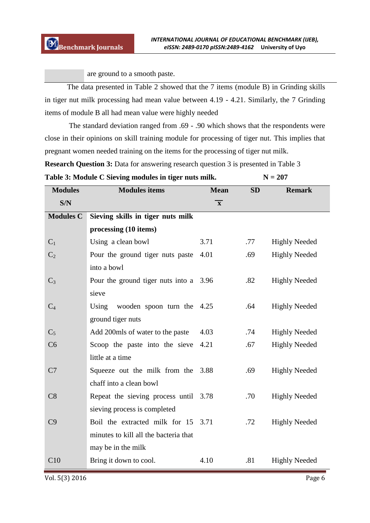are ground to a smooth paste.

The data presented in Table 2 showed that the 7 items (module B) in Grinding skills in tiger nut milk processing had mean value between 4.19 - 4.21. Similarly, the 7 Grinding items of module B all had mean value were highly needed

The standard deviation ranged from .69 - .90 which shows that the respondents were close in their opinions on skill training module for processing of tiger nut. This implies that pregnant women needed training on the items for the processing of tiger nut milk.

**Research Question 3:** Data for answering research question 3 is presented in Table 3

| Table 3: Module C Sieving modules in tiger nuts milk. | $N = 207$ |
|-------------------------------------------------------|-----------|
|-------------------------------------------------------|-----------|

| <b>Modules</b>   | <b>Modules</b> items                   | <b>Mean</b>             | <b>SD</b> | <b>Remark</b>        |
|------------------|----------------------------------------|-------------------------|-----------|----------------------|
| S/N              |                                        | $\overline{\mathbf{x}}$ |           |                      |
| <b>Modules C</b> | Sieving skills in tiger nuts milk      |                         |           |                      |
|                  | processing (10 items)                  |                         |           |                      |
| C <sub>1</sub>   | Using a clean bowl                     | 3.71                    | .77       | <b>Highly Needed</b> |
| $C_2$            | Pour the ground tiger nuts paste       | 4.01                    | .69       | <b>Highly Needed</b> |
|                  | into a bowl                            |                         |           |                      |
| $C_3$            | Pour the ground tiger nuts into a 3.96 |                         | .82       | <b>Highly Needed</b> |
|                  | sieve                                  |                         |           |                      |
| $C_4$            | Using wooden spoon turn the $4.25$     |                         | .64       | <b>Highly Needed</b> |
|                  | ground tiger nuts                      |                         |           |                      |
| $C_5$            | Add 200mls of water to the paste       | 4.03                    | .74       | <b>Highly Needed</b> |
| C <sub>6</sub>   | Scoop the paste into the sieve         | 4.21                    | .67       | <b>Highly Needed</b> |
|                  | little at a time                       |                         |           |                      |
| C7               | Squeeze out the milk from the 3.88     |                         | .69       | <b>Highly Needed</b> |
|                  | chaff into a clean bowl                |                         |           |                      |
| C8               | Repeat the sieving process until 3.78  |                         | .70       | <b>Highly Needed</b> |
|                  | sieving process is completed           |                         |           |                      |
| C9               | Boil the extracted milk for 15 3.71    |                         | .72       | <b>Highly Needed</b> |
|                  | minutes to kill all the bacteria that  |                         |           |                      |
|                  | may be in the milk                     |                         |           |                      |
| C10              | Bring it down to cool.                 | 4.10                    | .81       | <b>Highly Needed</b> |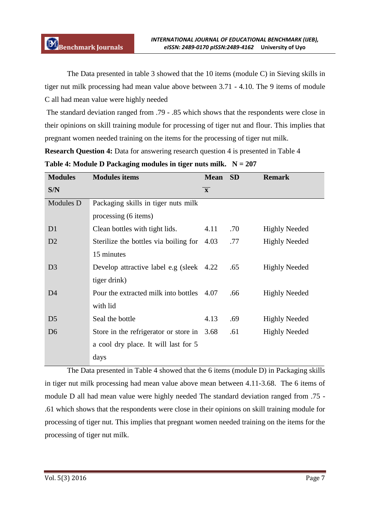The Data presented in table 3 showed that the 10 items (module C) in Sieving skills in tiger nut milk processing had mean value above between 3.71 - 4.10. The 9 items of module C all had mean value were highly needed

The standard deviation ranged from .79 - .85 which shows that the respondents were close in their opinions on skill training module for processing of tiger nut and flour. This implies that pregnant women needed training on the items for the processing of tiger nut milk.

**Research Question 4:** Data for answering research question 4 is presented in Table 4 **Table 4: Module D Packaging modules in tiger nuts milk. N = 207** 

| <b>Modules</b> | <b>Modules items</b>                      | <b>Mean</b>  | <b>SD</b> | <b>Remark</b>        |
|----------------|-------------------------------------------|--------------|-----------|----------------------|
| S/N            |                                           | $\mathbf{X}$ |           |                      |
| Modules D      | Packaging skills in tiger nuts milk       |              |           |                      |
|                | processing (6 items)                      |              |           |                      |
| D <sub>1</sub> | Clean bottles with tight lids.            | 4.11         | .70       | <b>Highly Needed</b> |
| D2             | Sterilize the bottles via boiling for     | 4.03         | .77       | <b>Highly Needed</b> |
|                | 15 minutes                                |              |           |                      |
| D <sub>3</sub> | Develop attractive label e.g (sleek 4.22) |              | .65       | <b>Highly Needed</b> |
|                | tiger drink)                              |              |           |                      |
| D <sub>4</sub> | Pour the extracted milk into bottles 4.07 |              | .66       | <b>Highly Needed</b> |
|                | with lid                                  |              |           |                      |
| D <sub>5</sub> | Seal the bottle                           | 4.13         | .69       | <b>Highly Needed</b> |
| D <sub>6</sub> | Store in the refrigerator or store in     | 3.68         | .61       | <b>Highly Needed</b> |
|                | a cool dry place. It will last for 5      |              |           |                      |
|                | days                                      |              |           |                      |

The Data presented in Table 4 showed that the 6 items (module D) in Packaging skills in tiger nut milk processing had mean value above mean between 4.11-3.68. The 6 items of module D all had mean value were highly needed The standard deviation ranged from .75 - .61 which shows that the respondents were close in their opinions on skill training module for processing of tiger nut. This implies that pregnant women needed training on the items for the processing of tiger nut milk.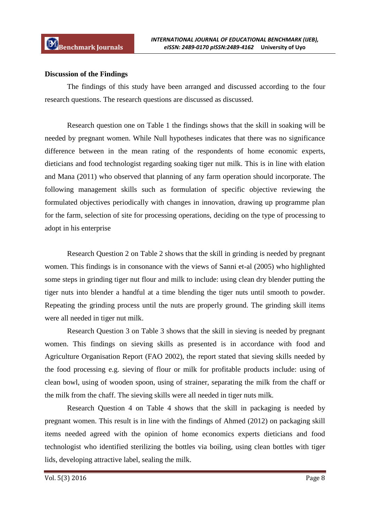#### **Discussion of the Findings**

The findings of this study have been arranged and discussed according to the four research questions. The research questions are discussed as discussed.

Research question one on Table 1 the findings shows that the skill in soaking will be needed by pregnant women. While Null hypotheses indicates that there was no significance difference between in the mean rating of the respondents of home economic experts, dieticians and food technologist regarding soaking tiger nut milk. This is in line with elation and Mana (2011) who observed that planning of any farm operation should incorporate. The following management skills such as formulation of specific objective reviewing the formulated objectives periodically with changes in innovation, drawing up programme plan for the farm, selection of site for processing operations, deciding on the type of processing to adopt in his enterprise

Research Question 2 on Table 2 shows that the skill in grinding is needed by pregnant women. This findings is in consonance with the views of Sanni et-al (2005) who highlighted some steps in grinding tiger nut flour and milk to include: using clean dry blender putting the tiger nuts into blender a handful at a time blending the tiger nuts until smooth to powder. Repeating the grinding process until the nuts are properly ground. The grinding skill items were all needed in tiger nut milk.

Research Question 3 on Table 3 shows that the skill in sieving is needed by pregnant women. This findings on sieving skills as presented is in accordance with food and Agriculture Organisation Report (FAO 2002), the report stated that sieving skills needed by the food processing e.g. sieving of flour or milk for profitable products include: using of clean bowl, using of wooden spoon, using of strainer, separating the milk from the chaff or the milk from the chaff. The sieving skills were all needed in tiger nuts milk.

Research Question 4 on Table 4 shows that the skill in packaging is needed by pregnant women. This result is in line with the findings of Ahmed (2012) on packaging skill items needed agreed with the opinion of home economics experts dieticians and food technologist who identified sterilizing the bottles via boiling, using clean bottles with tiger lids, developing attractive label, sealing the milk.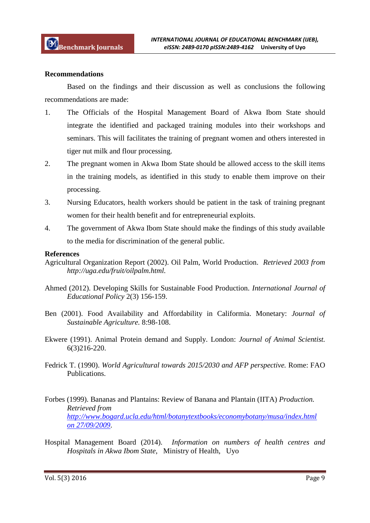#### **Recommendations**

Based on the findings and their discussion as well as conclusions the following recommendations are made:

- 1. The Officials of the Hospital Management Board of Akwa Ibom State should integrate the identified and packaged training modules into their workshops and seminars. This will facilitates the training of pregnant women and others interested in tiger nut milk and flour processing.
- 2. The pregnant women in Akwa Ibom State should be allowed access to the skill items in the training models, as identified in this study to enable them improve on their processing.
- 3. Nursing Educators, health workers should be patient in the task of training pregnant women for their health benefit and for entrepreneurial exploits.
- 4. The government of Akwa Ibom State should make the findings of this study available to the media for discrimination of the general public.

#### **References**

- Agricultural Organization Report (2002). Oil Palm, World Production. *Retrieved 2003 from http://uga.edu/fruit/oilpalm.html.*
- Ahmed (2012). Developing Skills for Sustainable Food Production. *International Journal of Educational Policy* 2(3) 156-159.
- Ben (2001). Food Availability and Affordability in Califormia. Monetary: *Journal of Sustainable Agriculture.* 8:98-108.
- Ekwere (1991). Animal Protein demand and Supply. London: *Journal of Animal Scientist.*  6(3)216-220.
- Fedrick T. (1990). *World Agricultural towards 2015/2030 and AFP perspective.* Rome: FAO Publications.
- Forbes (1999). Bananas and Plantains: Review of Banana and Plantain (IITA) *Production. Retrieved from http://www.bogard.ucla.edu/html/botanytextbooks/economybotany/musa/index.html on 27/09/2009*.
- Hospital Management Board (2014). *Information on numbers of health centres and Hospitals in Akwa Ibom State*, Ministry of Health, Uyo